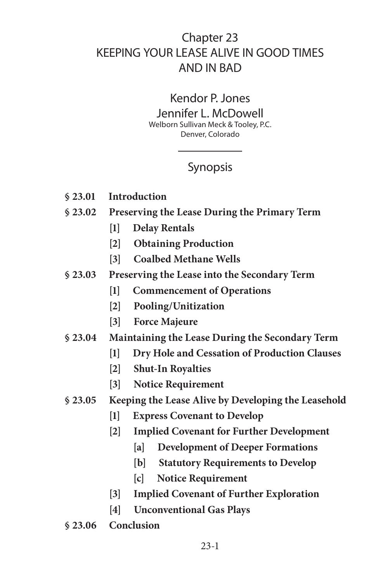# Chapter 23 KEEPING YOUR LEASE ALIVE IN GOOD TIMES AND IN BAD

## Kendor P. Jones

Jennifer L. McDowell Welborn Sullivan Meck & Tooley, P.C. Denver, Colorado

# Synopsis

- **§ 23.01 Introduction**
- **§ 23.02 Preserving the Lease During the Primary Term**
	- **[1] Delay Rentals**
	- **[2] Obtaining Production**
	- **[3] Coalbed Methane Wells**
- **§ 23.03 Preserving the Lease into the Secondary Term**
	- **[1] Commencement of Operations**
	- **[2] Pooling/Unitization**
	- **[3] Force Majeure**
- **§ 23.04 Maintaining the Lease During the Secondary Term**
	- **[1] Dry Hole and Cessation of Production Clauses**
	- **[2] Shut-In Royalties**
	- **[3] Notice Requirement**
- **§ 23.05 Keeping the Lease Alive by Developing the Leasehold**
	- **[1] Express Covenant to Develop**
	- **[2] Implied Covenant for Further Development**
		- **[a] Development of Deeper Formations**
		- **[b] Statutory Requirements to Develop**
		- **[c] Notice Requirement**
	- **[3] Implied Covenant of Further Exploration**
	- **[4] Unconventional Gas Plays**
- **§ 23.06 Conclusion**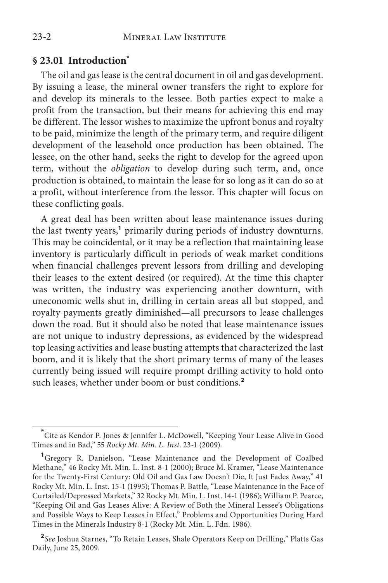#### **§ 23.01 Introduction\***

The oil and gas lease is the central document in oil and gas development. By issuing a lease, the mineral owner transfers the right to explore for and develop its minerals to the lessee. Both parties expect to make a profit from the transaction, but their means for achieving this end may be different. The lessor wishes to maximize the upfront bonus and royalty to be paid, minimize the length of the primary term, and require diligent development of the leasehold once production has been obtained. The lessee, on the other hand, seeks the right to develop for the agreed upon term, without the *obligation* to develop during such term, and, once production is obtained, to maintain the lease for so long as it can do so at a profit, without interference from the lessor. This chapter will focus on these conflicting goals.

A great deal has been written about lease maintenance issues during the last twenty years,<sup>1</sup> primarily during periods of industry downturns. This may be coincidental, or it may be a reflection that maintaining lease inventory is particularly difficult in periods of weak market conditions when financial challenges prevent lessors from drilling and developing their leases to the extent desired (or required). At the time this chapter was written, the industry was experiencing another downturn, with uneconomic wells shut in, drilling in certain areas all but stopped, and royalty payments greatly diminished—all precursors to lease challenges down the road. But it should also be noted that lease maintenance issues are not unique to industry depressions, as evidenced by the widespread top leasing activities and lease busting attempts that characterized the last boom, and it is likely that the short primary terms of many of the leases currently being issued will require prompt drilling activity to hold onto such leases, whether under boom or bust conditions.**<sup>2</sup>**

**<sup>\*</sup>** Cite as Kendor P. Jones & Jennifer L. McDowell, "Keeping Your Lease Alive in Good Times and in Bad," 55 *Rocky Mt. Min. L. Inst*. 23-1 (2009).

<sup>&</sup>lt;sup>1</sup>Gregory R. Danielson, "Lease Maintenance and the Development of Coalbed Methane," 46 Rocky Mt. Min. L. Inst. 8-1 (2000); Bruce M. Kramer, "Lease Maintenance for the Twenty-First Century: Old Oil and Gas Law Doesn't Die, It Just Fades Away," 41 Rocky Mt. Min. L. Inst. 15-1 (1995); Thomas P. Battle, "Lease Maintenance in the Face of Curtailed/Depressed Markets," 32 Rocky Mt. Min. L. Inst. 14-1 (1986); William P. Pearce, "Keeping Oil and Gas Leases Alive: A Review of Both the Mineral Lessee's Obligations and Possible Ways to Keep Leases in Effect," Problems and Opportunities During Hard Times in the Minerals Industry 8-1 (Rocky Mt. Min. L. Fdn. 1986).

**<sup>2</sup>***See* Joshua Starnes, "To Retain Leases, Shale Operators Keep on Drilling," Platts Gas Daily, June 25, 2009.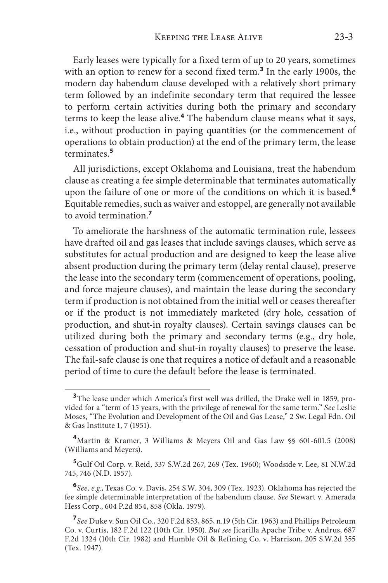Early leases were typically for a fixed term of up to 20 years, sometimes with an option to renew for a second fixed term.**<sup>3</sup>** In the early 1900s, the modern day habendum clause developed with a relatively short primary term followed by an indefinite secondary term that required the lessee to perform certain activities during both the primary and secondary terms to keep the lease alive.**<sup>4</sup>** The habendum clause means what it says, i.e., without production in paying quantities (or the commencement of operations to obtain production) at the end of the primary term, the lease terminates.**<sup>5</sup>**

All jurisdictions, except Oklahoma and Louisiana, treat the habendum clause as creating a fee simple determinable that terminates automatically upon the failure of one or more of the conditions on which it is based*.* **6** Equitable remedies, such as waiver and estoppel, are generally not available to avoid termination.**<sup>7</sup>**

To ameliorate the harshness of the automatic termination rule, lessees have drafted oil and gas leases that include savings clauses, which serve as substitutes for actual production and are designed to keep the lease alive absent production during the primary term (delay rental clause), preserve the lease into the secondary term (commencement of operations, pooling, and force majeure clauses), and maintain the lease during the secondary term if production is not obtained from the initial well or ceases thereafter or if the product is not immediately marketed (dry hole, cessation of production, and shut-in royalty clauses). Certain savings clauses can be utilized during both the primary and secondary terms (e.g., dry hole, cessation of production and shut-in royalty clauses) to preserve the lease. The fail-safe clause is one that requires a notice of default and a reasonable period of time to cure the default before the lease is terminated.

<sup>&</sup>lt;sup>3</sup>The lease under which America's first well was drilled, the Drake well in 1859, provided for a "term of 15 years, with the privilege of renewal for the same term." *See* Leslie Moses, "The Evolution and Development of the Oil and Gas Lease," 2 Sw. Legal Fdn. Oil & Gas Institute 1, 7 (1951).

**<sup>4</sup>**Martin & Kramer, 3 Williams & Meyers Oil and Gas Law §§ 601-601.5 (2008) (Williams and Meyers).

**<sup>5</sup>**Gulf Oil Corp. v. Reid, 337 S.W.2d 267, 269 (Tex. 1960); Woodside v. Lee, 81 N.W.2d 745, 746 (N.D. 1957).

**<sup>6</sup>***See, e.g*., Texas Co. v. Davis, 254 S.W. 304, 309 (Tex. 1923). Oklahoma has rejected the fee simple determinable interpretation of the habendum clause. *See* Stewart v. Amerada Hess Corp., 604 P.2d 854, 858 (Okla. 1979).

**<sup>7</sup>***See* Duke v. Sun Oil Co., 320 F.2d 853, 865, n.19 (5th Cir. 1963) and Phillips Petroleum Co. v. Curtis, 182 F.2d 122 (10th Cir. 1950). *But see* Jicarilla Apache Tribe v. Andrus, 687 F.2d 1324 (10th Cir. 1982) and Humble Oil & Refining Co. v. Harrison, 205 S.W.2d 355 (Tex. 1947).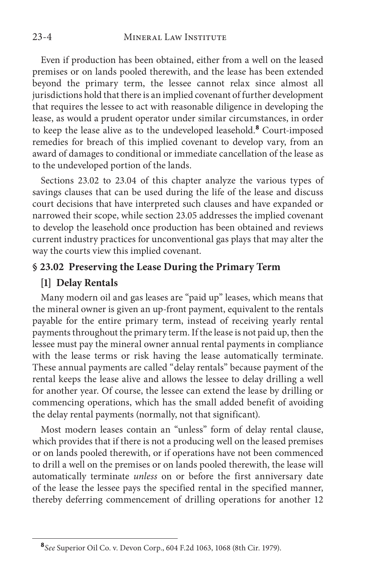Even if production has been obtained, either from a well on the leased premises or on lands pooled therewith, and the lease has been extended beyond the primary term, the lessee cannot relax since almost all jurisdictions hold that there is an implied covenant of further development that requires the lessee to act with reasonable diligence in developing the lease, as would a prudent operator under similar circumstances, in order to keep the lease alive as to the undeveloped leasehold.**<sup>8</sup>** Court-imposed remedies for breach of this implied covenant to develop vary, from an award of damages to conditional or immediate cancellation of the lease as to the undeveloped portion of the lands.

Sections 23.02 to 23.04 of this chapter analyze the various types of savings clauses that can be used during the life of the lease and discuss court decisions that have interpreted such clauses and have expanded or narrowed their scope, while section 23.05 addresses the implied covenant to develop the leasehold once production has been obtained and reviews current industry practices for unconventional gas plays that may alter the way the courts view this implied covenant.

#### **§ 23.02 Preserving the Lease During the Primary Term**

#### **[1] Delay Rentals**

Many modern oil and gas leases are "paid up" leases, which means that the mineral owner is given an up-front payment, equivalent to the rentals payable for the entire primary term, instead of receiving yearly rental payments throughout the primary term. If the lease is not paid up, then the lessee must pay the mineral owner annual rental payments in compliance with the lease terms or risk having the lease automatically terminate. These annual payments are called "delay rentals" because payment of the rental keeps the lease alive and allows the lessee to delay drilling a well for another year. Of course, the lessee can extend the lease by drilling or commencing operations, which has the small added benefit of avoiding the delay rental payments (normally, not that significant).

Most modern leases contain an "unless" form of delay rental clause, which provides that if there is not a producing well on the leased premises or on lands pooled therewith, or if operations have not been commenced to drill a well on the premises or on lands pooled therewith, the lease will automatically terminate *unless* on or before the first anniversary date of the lease the lessee pays the specified rental in the specified manner, thereby deferring commencement of drilling operations for another 12

**<sup>8</sup>***See* Superior Oil Co. v. Devon Corp., 604 F.2d 1063, 1068 (8th Cir. 1979).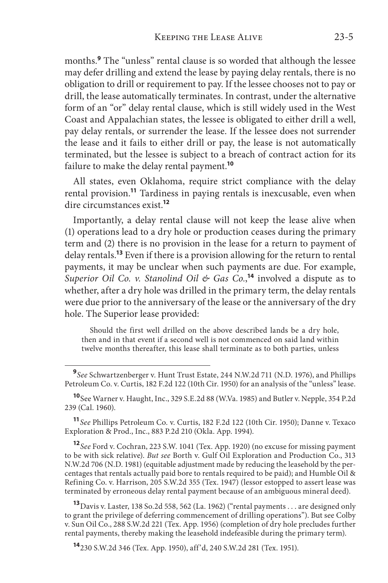months.**<sup>9</sup>** The "unless" rental clause is so worded that although the lessee may defer drilling and extend the lease by paying delay rentals, there is no obligation to drill or requirement to pay. If the lessee chooses not to pay or drill, the lease automatically terminates. In contrast, under the alternative form of an "or" delay rental clause, which is still widely used in the West Coast and Appalachian states, the lessee is obligated to either drill a well, pay delay rentals, or surrender the lease. If the lessee does not surrender the lease and it fails to either drill or pay, the lease is not automatically terminated, but the lessee is subject to a breach of contract action for its failure to make the delay rental payment.**<sup>10</sup>**

All states, even Oklahoma, require strict compliance with the delay rental provision.**<sup>11</sup>** Tardiness in paying rentals is inexcusable, even when dire circumstances exist.**<sup>12</sup>**

Importantly, a delay rental clause will not keep the lease alive when (1) operations lead to a dry hole or production ceases during the primary term and (2) there is no provision in the lease for a return to payment of delay rentals.**<sup>13</sup>** Even if there is a provision allowing for the return to rental payments, it may be unclear when such payments are due. For example, *Superior Oil Co. v. Stanolind Oil & Gas Co.*, **<sup>14</sup>** involved a dispute as to whether, after a dry hole was drilled in the primary term, the delay rentals were due prior to the anniversary of the lease or the anniversary of the dry hole. The Superior lease provided:

Should the first well drilled on the above described lands be a dry hole, then and in that event if a second well is not commenced on said land within twelve months thereafter, this lease shall terminate as to both parties, unless

**<sup>10</sup>**See Warner v. Haught, Inc., 329 S.E.2d 88 (W.Va. 1985) and Butler v. Nepple, 354 P.2d 239 (Cal. 1960).

**<sup>11</sup>***See* Phillips Petroleum Co. v. Curtis, 182 F.2d 122 (10th Cir. 1950); Danne v. Texaco Exploration & Prod., Inc., 883 P.2d 210 (Okla. App. 1994).

**<sup>12</sup>***See* Ford v. Cochran, 223 S.W. 1041 (Tex. App. 1920) (no excuse for missing payment to be with sick relative). *But see* Borth v. Gulf Oil Exploration and Production Co., 313 N.W.2d 706 (N.D. 1981) (equitable adjustment made by reducing the leasehold by the percentages that rentals actually paid bore to rentals required to be paid); and Humble Oil & Refining Co. v. Harrison, 205 S.W.2d 355 (Tex. 1947) (lessor estopped to assert lease was terminated by erroneous delay rental payment because of an ambiguous mineral deed).

**<sup>13</sup>**Davis v. Laster, 138 So.2d 558, 562 (La. 1962) ("rental payments . . . are designed only to grant the privilege of deferring commencement of drilling operations"). But see Colby v. Sun Oil Co., 288 S.W.2d 221 (Tex. App. 1956) (completion of dry hole precludes further rental payments, thereby making the leasehold indefeasible during the primary term).

**<sup>14</sup>**230 S.W.2d 346 (Tex. App. 1950), aff'd, 240 S.W.2d 281 (Tex. 1951).

**<sup>9</sup>***See* Schwartzenberger v. Hunt Trust Estate, 244 N.W.2d 711 (N.D. 1976), and Phillips Petroleum Co. v. Curtis, 182 F.2d 122 (10th Cir. 1950) for an analysis of the "unless" lease.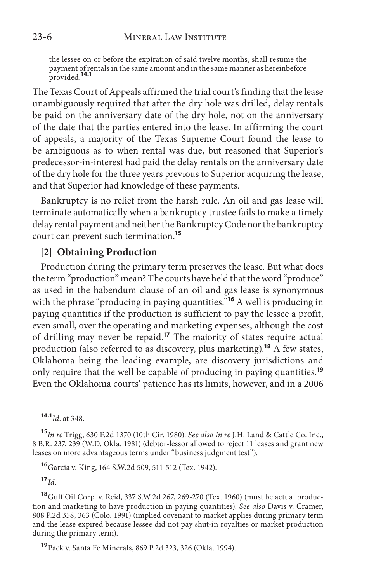the lessee on or before the expiration of said twelve months, shall resume the payment of rentals in the same amount and in the same manner as hereinbefore provided.**14.1**

The Texas Court of Appeals affirmed the trial court's finding that the lease unambiguously required that after the dry hole was drilled, delay rentals be paid on the anniversary date of the dry hole, not on the anniversary of the date that the parties entered into the lease. In affirming the court of appeals, a majority of the Texas Supreme Court found the lease to be ambiguous as to when rental was due, but reasoned that Superior's predecessor-in-interest had paid the delay rentals on the anniversary date of the dry hole for the three years previous to Superior acquiring the lease, and that Superior had knowledge of these payments.

Bankruptcy is no relief from the harsh rule. An oil and gas lease will terminate automatically when a bankruptcy trustee fails to make a timely delay rental payment and neither the Bankruptcy Code nor the bankruptcy court can prevent such termination.**<sup>15</sup>**

#### **[2] Obtaining Production**

Production during the primary term preserves the lease. But what does the term "production" mean? The courts have held that the word "produce" as used in the habendum clause of an oil and gas lease is synonymous with the phrase "producing in paying quantities."**<sup>16</sup>** A well is producing in paying quantities if the production is sufficient to pay the lessee a profit, even small, over the operating and marketing expenses, although the cost of drilling may never be repaid.**<sup>17</sup>** The majority of states require actual production (also referred to as discovery, plus marketing).**<sup>18</sup>** A few states, Oklahoma being the leading example, are discovery jurisdictions and only require that the well be capable of producing in paying quantities.**<sup>19</sup>** Even the Oklahoma courts' patience has its limits, however, and in a 2006

**<sup>17</sup>***Id*.

**<sup>14.1</sup>***Id*. at 348.

**<sup>15</sup>***In re* Trigg, 630 F.2d 1370 (10th Cir. 1980). *See also In re* J.H. Land & Cattle Co. Inc., 8 B.R. 237, 239 (W.D. Okla. 1981) (debtor-lessor allowed to reject 11 leases and grant new leases on more advantageous terms under "business judgment test").

**<sup>16</sup>**Garcia v. King, 164 S.W.2d 509, 511-512 (Tex. 1942).

**<sup>18</sup>**Gulf Oil Corp. v. Reid, 337 S.W.2d 267, 269-270 (Tex. 1960) (must be actual production and marketing to have production in paying quantities). *See also* Davis v. Cramer, 808 P.2d 358, 363 (Colo. 1991) (implied covenant to market applies during primary term and the lease expired because lessee did not pay shut-in royalties or market production during the primary term).

**<sup>19</sup>**Pack v. Santa Fe Minerals, 869 P.2d 323, 326 (Okla. 1994).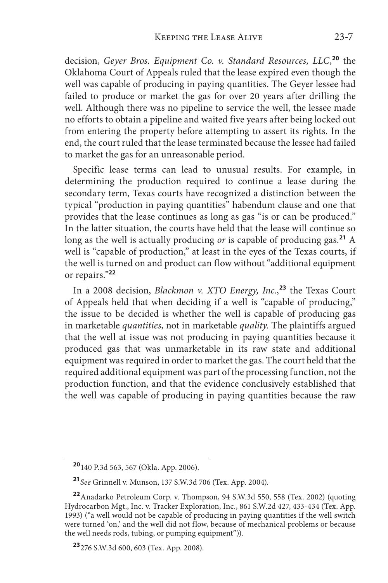decision, *Geyer Bros. Equipment Co. v. Standard Resources, LLC*, **<sup>20</sup>** the Oklahoma Court of Appeals ruled that the lease expired even though the well was capable of producing in paying quantities. The Geyer lessee had failed to produce or market the gas for over 20 years after drilling the well. Although there was no pipeline to service the well, the lessee made no efforts to obtain a pipeline and waited five years after being locked out from entering the property before attempting to assert its rights. In the end, the court ruled that the lease terminated because the lessee had failed to market the gas for an unreasonable period.

Specific lease terms can lead to unusual results. For example, in determining the production required to continue a lease during the secondary term, Texas courts have recognized a distinction between the typical "production in paying quantities" habendum clause and one that provides that the lease continues as long as gas "is or can be produced." In the latter situation, the courts have held that the lease will continue so long as the well is actually producing *or* is capable of producing gas.**<sup>21</sup>** A well is "capable of production," at least in the eyes of the Texas courts, if the well is turned on and product can flow without "additional equipment or repairs."**<sup>22</sup>**

In a 2008 decision, *Blackmon v. XTO Energy, Inc.*, **<sup>23</sup>** the Texas Court of Appeals held that when deciding if a well is "capable of producing," the issue to be decided is whether the well is capable of producing gas in marketable *quantities*, not in marketable *quality*. The plaintiffs argued that the well at issue was not producing in paying quantities because it produced gas that was unmarketable in its raw state and additional equipment was required in order to market the gas. The court held that the required additional equipment was part of the processing function, not the production function, and that the evidence conclusively established that the well was capable of producing in paying quantities because the raw

**<sup>20</sup>**140 P.3d 563, 567 (Okla. App. 2006).

**<sup>21</sup>***See* Grinnell v. Munson, 137 S.W.3d 706 (Tex. App. 2004).

**<sup>22</sup>**Anadarko Petroleum Corp. v. Thompson, 94 S.W.3d 550, 558 (Tex. 2002) (quoting Hydrocarbon Mgt., Inc. v. Tracker Exploration, Inc., 861 S.W.2d 427, 433-434 (Tex. App. 1993) ("a well would not be capable of producing in paying quantities if the well switch were turned 'on,' and the well did not flow, because of mechanical problems or because the well needs rods, tubing, or pumping equipment")).

**<sup>23</sup>**276 S.W.3d 600, 603 (Tex. App. 2008).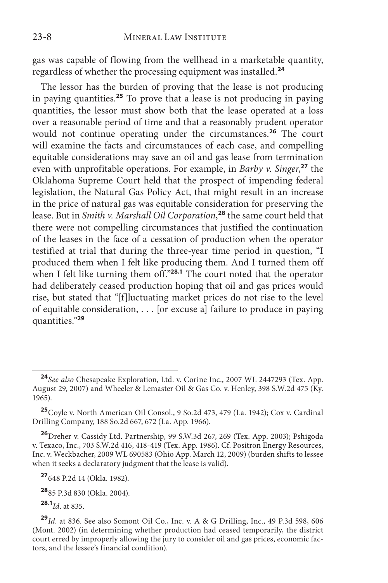gas was capable of flowing from the wellhead in a marketable quantity, regardless of whether the processing equipment was installed.**<sup>24</sup>**

The lessor has the burden of proving that the lease is not producing in paying quantities.**<sup>25</sup>** To prove that a lease is not producing in paying quantities, the lessor must show both that the lease operated at a loss over a reasonable period of time and that a reasonably prudent operator would not continue operating under the circumstances.**<sup>26</sup>** The court will examine the facts and circumstances of each case, and compelling equitable considerations may save an oil and gas lease from termination even with unprofitable operations. For example, in *Barby v. Singer*, **<sup>27</sup>** the Oklahoma Supreme Court held that the prospect of impending federal legislation, the Natural Gas Policy Act, that might result in an increase in the price of natural gas was equitable consideration for preserving the lease. But in *Smith v. Marshall Oil Corporation*, **<sup>28</sup>** the same court held that there were not compelling circumstances that justified the continuation of the leases in the face of a cessation of production when the operator testified at trial that during the three-year time period in question, "I produced them when I felt like producing them. And I turned them off when I felt like turning them off."**28.1** The court noted that the operator had deliberately ceased production hoping that oil and gas prices would rise, but stated that "[f]luctuating market prices do not rise to the level of equitable consideration, . . . [or excuse a] failure to produce in paying quantities."**<sup>29</sup>**

**<sup>27</sup>**648 P.2d 14 (Okla. 1982).

**<sup>28</sup>**85 P.3d 830 (Okla. 2004).

**28.1***Id*. at 835.

**<sup>24</sup>***See also* Chesapeake Exploration, Ltd. v. Corine Inc., 2007 WL 2447293 (Tex. App. August 29, 2007) and Wheeler & Lemaster Oil & Gas Co. v. Henley, 398 S.W.2d 475 (Ky. 1965).

**<sup>25</sup>**Coyle v. North American Oil Consol., 9 So.2d 473, 479 (La. 1942); Cox v. Cardinal Drilling Company, 188 So.2d 667, 672 (La. App. 1966).

**<sup>26</sup>**Dreher v. Cassidy Ltd. Partnership, 99 S.W.3d 267, 269 (Tex. App. 2003); Pshigoda v. Texaco, Inc., 703 S.W.2d 416, 418-419 (Tex. App. 1986). Cf. Positron Energy Resources, Inc. v. Weckbacher, 2009 WL 690583 (Ohio App. March 12, 2009) (burden shifts to lessee when it seeks a declaratory judgment that the lease is valid).

**<sup>29</sup>***Id*. at 836. See also Somont Oil Co., Inc. v. A & G Drilling, Inc., 49 P.3d 598, 606 (Mont. 2002) (in determining whether production had ceased temporarily, the district court erred by improperly allowing the jury to consider oil and gas prices, economic factors, and the lessee's financial condition).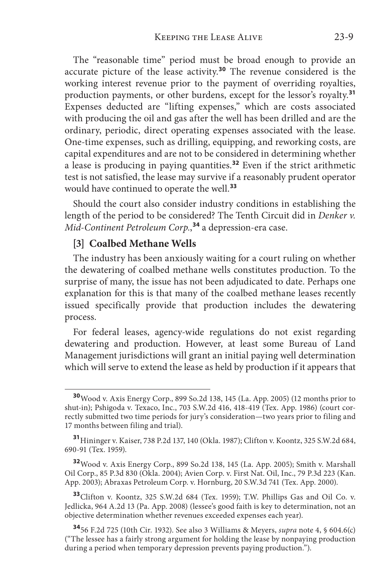The "reasonable time" period must be broad enough to provide an accurate picture of the lease activity.**<sup>30</sup>** The revenue considered is the working interest revenue prior to the payment of overriding royalties, production payments, or other burdens, except for the lessor's royalty.**<sup>31</sup>** Expenses deducted are "lifting expenses," which are costs associated with producing the oil and gas after the well has been drilled and are the ordinary, periodic, direct operating expenses associated with the lease. One-time expenses, such as drilling, equipping, and reworking costs, are capital expenditures and are not to be considered in determining whether a lease is producing in paying quantities.**<sup>32</sup>** Even if the strict arithmetic test is not satisfied, the lease may survive if a reasonably prudent operator would have continued to operate the well.**<sup>33</sup>**

Should the court also consider industry conditions in establishing the length of the period to be considered? The Tenth Circuit did in *Denker v. Mid-Continent Petroleum Corp.*, **<sup>34</sup>** a depression-era case.

#### **[3] Coalbed Methane Wells**

The industry has been anxiously waiting for a court ruling on whether the dewatering of coalbed methane wells constitutes production. To the surprise of many, the issue has not been adjudicated to date. Perhaps one explanation for this is that many of the coalbed methane leases recently issued specifically provide that production includes the dewatering process.

For federal leases, agency-wide regulations do not exist regarding dewatering and production. However, at least some Bureau of Land Management jurisdictions will grant an initial paying well determination which will serve to extend the lease as held by production if it appears that

**<sup>32</sup>**Wood v. Axis Energy Corp., 899 So.2d 138, 145 (La. App. 2005); Smith v. Marshall Oil Corp., 85 P.3d 830 (Okla. 2004); Avien Corp. v. First Nat. Oil, Inc., 79 P.3d 223 (Kan. App. 2003); Abraxas Petroleum Corp. v. Hornburg, 20 S.W.3d 741 (Tex. App. 2000).

**<sup>33</sup>**Clifton v. Koontz, 325 S.W.2d 684 (Tex. 1959); T.W. Phillips Gas and Oil Co. v. Jedlicka, 964 A.2d 13 (Pa. App. 2008) (lessee's good faith is key to determination, not an objective determination whether revenues exceeded expenses each year).

**<sup>34</sup>**56 F.2d 725 (10th Cir. 1932). See also 3 Williams & Meyers, *supra* note 4, § 604.6(c) ("The lessee has a fairly strong argument for holding the lease by nonpaying production during a period when temporary depression prevents paying production.").

**<sup>30</sup>**Wood v. Axis Energy Corp., 899 So.2d 138, 145 (La. App. 2005) (12 months prior to shut-in); Pshigoda v. Texaco, Inc., 703 S.W.2d 416, 418-419 (Tex. App. 1986) (court correctly submitted two time periods for jury's consideration—two years prior to filing and 17 months between filing and trial).

**<sup>31</sup>**Hininger v. Kaiser, 738 P.2d 137, 140 (Okla. 1987); Clifton v. Koontz, 325 S.W.2d 684, 690-91 (Tex. 1959).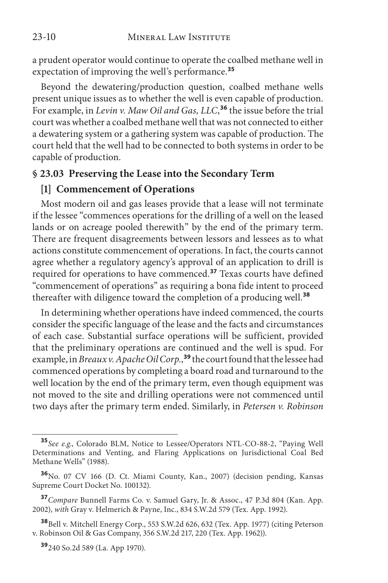23-10 MINERAL LAW INSTITUTE

a prudent operator would continue to operate the coalbed methane well in expectation of improving the well's performance.**<sup>35</sup>**

Beyond the dewatering/production question, coalbed methane wells present unique issues as to whether the well is even capable of production. For example, in *Levin v. Maw Oil and Gas, LLC*, **<sup>36</sup>** the issue before the trial court was whether a coalbed methane well that was not connected to either a dewatering system or a gathering system was capable of production. The court held that the well had to be connected to both systems in order to be capable of production.

#### **§ 23.03 Preserving the Lease into the Secondary Term**

#### **[1] Commencement of Operations**

Most modern oil and gas leases provide that a lease will not terminate if the lessee "commences operations for the drilling of a well on the leased lands or on acreage pooled therewith" by the end of the primary term. There are frequent disagreements between lessors and lessees as to what actions constitute commencement of operations. In fact, the courts cannot agree whether a regulatory agency's approval of an application to drill is required for operations to have commenced.**<sup>37</sup>** Texas courts have defined "commencement of operations" as requiring a bona fide intent to proceed thereafter with diligence toward the completion of a producing well.**<sup>38</sup>**

In determining whether operations have indeed commenced, the courts consider the specific language of the lease and the facts and circumstances of each case. Substantial surface operations will be sufficient, provided that the preliminary operations are continued and the well is spud. For example, in *Breaux v. Apache Oil Corp.*, **<sup>39</sup>** the court found that the lessee had commenced operations by completing a board road and turnaround to the well location by the end of the primary term, even though equipment was not moved to the site and drilling operations were not commenced until two days after the primary term ended. Similarly, in *Petersen v. Robinson* 

**<sup>35</sup>***See e.g*., Colorado BLM, Notice to Lessee/Operators NTL-CO-88-2, "Paying Well Determinations and Venting, and Flaring Applications on Jurisdictional Coal Bed Methane Wells" (1988).

**<sup>36</sup>**No. 07 CV 166 (D. Ct. Miami County, Kan., 2007) (decision pending, Kansas Supreme Court Docket No. 100132).

**<sup>37</sup>***Compare* Bunnell Farms Co. v. Samuel Gary, Jr. & Assoc., 47 P.3d 804 (Kan. App. 2002), *with* Gray v. Helmerich & Payne, Inc., 834 S.W.2d 579 (Tex. App. 1992).

**<sup>38</sup>**Bell v. Mitchell Energy Corp., 553 S.W.2d 626, 632 (Tex. App. 1977) (citing Peterson v. Robinson Oil & Gas Company, 356 S.W.2d 217, 220 (Tex. App. 1962)).

**<sup>39</sup>**240 So.2d 589 (La. App 1970).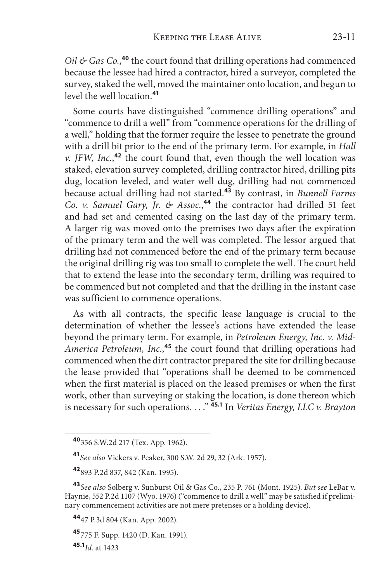*Oil & Gas Co.*, **<sup>40</sup>** the court found that drilling operations had commenced because the lessee had hired a contractor, hired a surveyor, completed the survey, staked the well, moved the maintainer onto location, and begun to level the well location.**<sup>41</sup>**

Some courts have distinguished "commence drilling operations" and "commence to drill a well" from "commence operations for the drilling of a well," holding that the former require the lessee to penetrate the ground with a drill bit prior to the end of the primary term. For example, in *Hall v. JFW, Inc.*, **<sup>42</sup>** the court found that, even though the well location was staked, elevation survey completed, drilling contractor hired, drilling pits dug, location leveled, and water well dug, drilling had not commenced because actual drilling had not started.**<sup>43</sup>** By contrast, in *Bunnell Farms Co. v. Samuel Gary, Jr. & Assoc.*, **<sup>44</sup>** the contractor had drilled 51 feet and had set and cemented casing on the last day of the primary term. A larger rig was moved onto the premises two days after the expiration of the primary term and the well was completed. The lessor argued that drilling had not commenced before the end of the primary term because the original drilling rig was too small to complete the well. The court held that to extend the lease into the secondary term, drilling was required to be commenced but not completed and that the drilling in the instant case was sufficient to commence operations.

As with all contracts, the specific lease language is crucial to the determination of whether the lessee's actions have extended the lease beyond the primary term. For example, in *Petroleum Energy, Inc. v. Mid-America Petroleum, Inc.*, **<sup>45</sup>** the court found that drilling operations had commenced when the dirt contractor prepared the site for drilling because the lease provided that "operations shall be deemed to be commenced when the first material is placed on the leased premises or when the first work, other than surveying or staking the location, is done thereon which is necessary for such operations. . . ." **45.1** In *Veritas Energy, LLC v. Brayton* 

**<sup>45</sup>**775 F. Supp. 1420 (D. Kan. 1991).

**45.1***Id*. at 1423

**<sup>40</sup>**356 S.W.2d 217 (Tex. App. 1962).

**<sup>41</sup>***See also* Vickers v. Peaker, 300 S.W. 2d 29, 32 (Ark. 1957).

**<sup>42</sup>**893 P.2d 837, 842 (Kan. 1995).

**<sup>43</sup>***See also* Solberg v. Sunburst Oil & Gas Co., 235 P. 761 (Mont. 1925). *But see* LeBar v. Haynie, 552 P.2d 1107 (Wyo. 1976) ("commence to drill a well" may be satisfied if preliminary commencement activities are not mere pretenses or a holding device).

**<sup>44</sup>**47 P.3d 804 (Kan. App. 2002).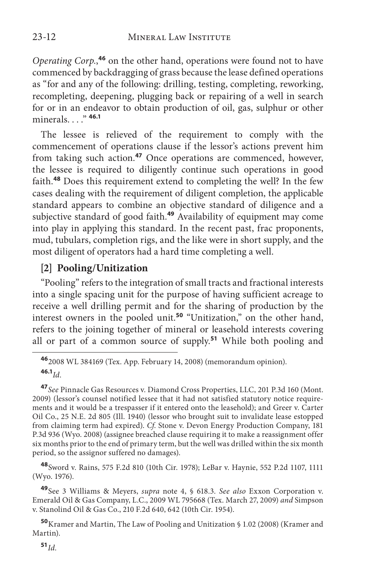*Operating Corp.*, **<sup>46</sup>** on the other hand, operations were found not to have commenced by backdragging of grass because the lease defined operations as "for and any of the following: drilling, testing, completing, reworking, recompleting, deepening, plugging back or repairing of a well in search for or in an endeavor to obtain production of oil, gas, sulphur or other minerals. . . ." **46.1**

The lessee is relieved of the requirement to comply with the commencement of operations clause if the lessor's actions prevent him from taking such action.**<sup>47</sup>** Once operations are commenced, however, the lessee is required to diligently continue such operations in good faith.**<sup>48</sup>** Does this requirement extend to completing the well? In the few cases dealing with the requirement of diligent completion, the applicable standard appears to combine an objective standard of diligence and a subjective standard of good faith.**<sup>49</sup>** Availability of equipment may come into play in applying this standard. In the recent past, frac proponents, mud, tubulars, completion rigs, and the like were in short supply, and the most diligent of operators had a hard time completing a well.

#### **[2] Pooling/Unitization**

"Pooling" refers to the integration of small tracts and fractional interests into a single spacing unit for the purpose of having sufficient acreage to receive a well drilling permit and for the sharing of production by the interest owners in the pooled unit.**<sup>50</sup>** "Unitization," on the other hand, refers to the joining together of mineral or leasehold interests covering all or part of a common source of supply.**<sup>51</sup>** While both pooling and

**<sup>48</sup>**Sword v. Rains, 575 F.2d 810 (10th Cir. 1978); LeBar v. Haynie, 552 P.2d 1107, 1111 (Wyo. 1976).

**<sup>49</sup>**See 3 Williams & Meyers, *supra* note 4, § 618.3. *See also* Exxon Corporation v. Emerald Oil & Gas Company, L.C., 2009 WL 795668 (Tex. March 27, 2009) *and* Simpson v. Stanolind Oil & Gas Co., 210 F.2d 640, 642 (10th Cir. 1954).

**<sup>50</sup>**Kramer and Martin, The Law of Pooling and Unitization § 1.02 (2008) (Kramer and Martin).

**<sup>51</sup>***Id*.

**<sup>46</sup>**2008 WL 384169 (Tex. App. February 14, 2008) (memorandum opinion). **46.1***Id*.

**<sup>47</sup>***See* Pinnacle Gas Resources v. Diamond Cross Properties, LLC, 201 P.3d 160 (Mont. 2009) (lessor's counsel notified lessee that it had not satisfied statutory notice requirements and it would be a trespasser if it entered onto the leasehold); and Greer v. Carter Oil Co., 25 N.E. 2d 805 (Ill. 1940) (lessor who brought suit to invalidate lease estopped from claiming term had expired). *Cf*. Stone v. Devon Energy Production Company, 181 P.3d 936 (Wyo. 2008) (assignee breached clause requiring it to make a reassignment offer six months prior to the end of primary term, but the well was drilled within the six month period, so the assignor suffered no damages).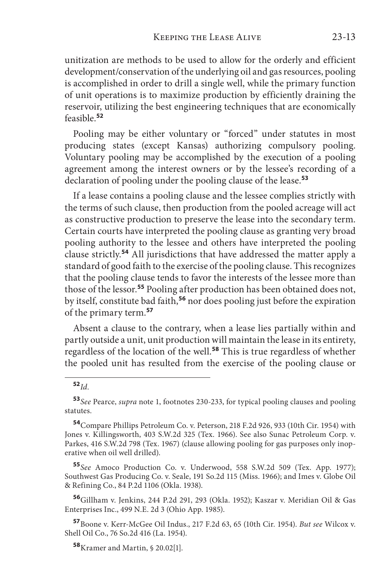unitization are methods to be used to allow for the orderly and efficient development/conservation of the underlying oil and gas resources, pooling is accomplished in order to drill a single well, while the primary function of unit operations is to maximize production by efficiently draining the reservoir, utilizing the best engineering techniques that are economically feasible.**<sup>52</sup>**

Pooling may be either voluntary or "forced" under statutes in most producing states (except Kansas) authorizing compulsory pooling. Voluntary pooling may be accomplished by the execution of a pooling agreement among the interest owners or by the lessee's recording of a declaration of pooling under the pooling clause of the lease.**<sup>53</sup>**

If a lease contains a pooling clause and the lessee complies strictly with the terms of such clause, then production from the pooled acreage will act as constructive production to preserve the lease into the secondary term. Certain courts have interpreted the pooling clause as granting very broad pooling authority to the lessee and others have interpreted the pooling clause strictly.**<sup>54</sup>** All jurisdictions that have addressed the matter apply a standard of good faith to the exercise of the pooling clause. This recognizes that the pooling clause tends to favor the interests of the lessee more than those of the lessor.**<sup>55</sup>** Pooling after production has been obtained does not, by itself, constitute bad faith,**<sup>56</sup>** nor does pooling just before the expiration of the primary term.**<sup>57</sup>**

Absent a clause to the contrary, when a lease lies partially within and partly outside a unit, unit production will maintain the lease in its entirety, regardless of the location of the well.**<sup>58</sup>** This is true regardless of whether the pooled unit has resulted from the exercise of the pooling clause or

**<sup>55</sup>***See* Amoco Production Co. v. Underwood, 558 S.W.2d 509 (Tex. App. 1977); Southwest Gas Producing Co. v. Seale, 191 So.2d 115 (Miss. 1966); and Imes v. Globe Oil & Refining Co., 84 P.2d 1106 (Okla. 1938).

**<sup>56</sup>**Gillham v. Jenkins, 244 P.2d 291, 293 (Okla. 1952); Kaszar v. Meridian Oil & Gas Enterprises Inc., 499 N.E. 2d 3 (Ohio App. 1985).

**<sup>57</sup>**Boone v. Kerr-McGee Oil Indus., 217 F.2d 63, 65 (10th Cir. 1954). *But see* Wilcox v. Shell Oil Co., 76 So.2d 416 (La. 1954).

**<sup>52</sup>***Id*.

**<sup>53</sup>***See* Pearce, *supra* note 1, footnotes 230-233, for typical pooling clauses and pooling statutes.

**<sup>54</sup>**Compare Phillips Petroleum Co. v. Peterson, 218 F.2d 926, 933 (10th Cir. 1954) with Jones v. Killingsworth, 403 S.W.2d 325 (Tex. 1966). See also Sunac Petroleum Corp. v. Parkes, 416 S.W.2d 798 (Tex. 1967) (clause allowing pooling for gas purposes only inoperative when oil well drilled).

**<sup>58</sup>**Kramer and Martin, § 20.02[1].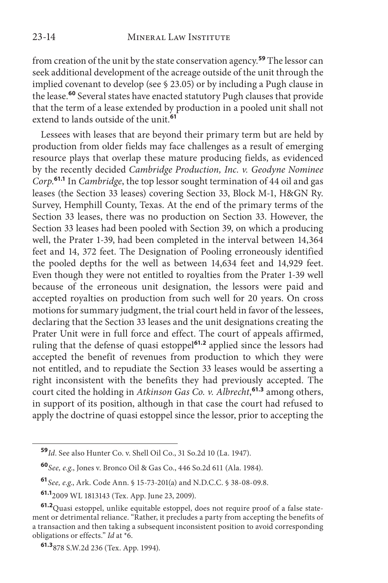from creation of the unit by the state conservation agency.**<sup>59</sup>** The lessor can seek additional development of the acreage outside of the unit through the implied covenant to develop (see § 23.05) or by including a Pugh clause in the lease.**<sup>60</sup>** Several states have enacted statutory Pugh clauses that provide that the term of a lease extended by production in a pooled unit shall not extend to lands outside of the unit.**<sup>61</sup>**

Lessees with leases that are beyond their primary term but are held by production from older fields may face challenges as a result of emerging resource plays that overlap these mature producing fields, as evidenced by the recently decided *Cambridge Production, Inc. v. Geodyne Nominee Corp*. **61.1** In *Cambridge*, the top lessor sought termination of 44 oil and gas leases (the Section 33 leases) covering Section 33, Block M-1, H&GN Ry. Survey, Hemphill County, Texas. At the end of the primary terms of the Section 33 leases, there was no production on Section 33. However, the Section 33 leases had been pooled with Section 39, on which a producing well, the Prater 1-39, had been completed in the interval between 14,364 feet and 14, 372 feet. The Designation of Pooling erroneously identified the pooled depths for the well as between 14,634 feet and 14,929 feet. Even though they were not entitled to royalties from the Prater 1-39 well because of the erroneous unit designation, the lessors were paid and accepted royalties on production from such well for 20 years. On cross motions for summary judgment, the trial court held in favor of the lessees, declaring that the Section 33 leases and the unit designations creating the Prater Unit were in full force and effect. The court of appeals affirmed, ruling that the defense of quasi estoppel**61.2** applied since the lessors had accepted the benefit of revenues from production to which they were not entitled, and to repudiate the Section 33 leases would be asserting a right inconsistent with the benefits they had previously accepted. The court cited the holding in *Atkinson Gas Co. v. Albrecht*, **61.3** among others, in support of its position, although in that case the court had refused to apply the doctrine of quasi estoppel since the lessor, prior to accepting the

**<sup>59</sup>***Id*. See also Hunter Co. v. Shell Oil Co., 31 So.2d 10 (La. 1947).

**<sup>60</sup>***See, e.g*., Jones v. Bronco Oil & Gas Co., 446 So.2d 611 (Ala. 1984).

**<sup>61</sup>***See, e.g*., Ark. Code Ann. § 15-73-201(a) and N.D.C.C. § 38-08-09.8.

**<sup>61.1</sup>**2009 WL 1813143 (Tex. App. June 23, 2009).

**<sup>61.2</sup>**Quasi estoppel, unlike equitable estoppel, does not require proof of a false statement or detrimental reliance. "Rather, it precludes a party from accepting the benefits of a transaction and then taking a subsequent inconsistent position to avoid corresponding obligations or effects." *Id* at \*6.

**<sup>61.3</sup>**878 S.W.2d 236 (Tex. App. 1994).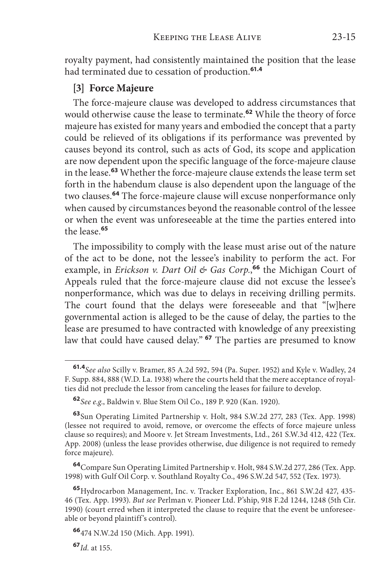royalty payment, had consistently maintained the position that the lease had terminated due to cessation of production.**61.4**

#### **[3] Force Majeure**

The force-majeure clause was developed to address circumstances that would otherwise cause the lease to terminate.**<sup>62</sup>** While the theory of force majeure has existed for many years and embodied the concept that a party could be relieved of its obligations if its performance was prevented by causes beyond its control, such as acts of God, its scope and application are now dependent upon the specific language of the force-majeure clause in the lease.**<sup>63</sup>** Whether the force-majeure clause extends the lease term set forth in the habendum clause is also dependent upon the language of the two clauses.**<sup>64</sup>** The force-majeure clause will excuse nonperformance only when caused by circumstances beyond the reasonable control of the lessee or when the event was unforeseeable at the time the parties entered into the lease.**<sup>65</sup>**

The impossibility to comply with the lease must arise out of the nature of the act to be done, not the lessee's inability to perform the act. For example, in *Erickson v. Dart Oil & Gas Corp.*, **<sup>66</sup>** the Michigan Court of Appeals ruled that the force-majeure clause did not excuse the lessee's nonperformance, which was due to delays in receiving drilling permits. The court found that the delays were foreseeable and that "[w]here governmental action is alleged to be the cause of delay, the parties to the lease are presumed to have contracted with knowledge of any preexisting law that could have caused delay." **<sup>67</sup>** The parties are presumed to know

**<sup>61.4</sup>***See also* Scilly v. Bramer, 85 A.2d 592, 594 (Pa. Super. 1952) and Kyle v. Wadley, 24 F. Supp. 884, 888 (W.D. La. 1938) where the courts held that the mere acceptance of royalties did not preclude the lessor from canceling the leases for failure to develop.

**<sup>62</sup>***See e.g*., Baldwin v. Blue Stem Oil Co., 189 P. 920 (Kan. 1920).

**<sup>63</sup>**Sun Operating Limited Partnership v. Holt, 984 S.W.2d 277, 283 (Tex. App. 1998) (lessee not required to avoid, remove, or overcome the effects of force majeure unless clause so requires); and Moore v. Jet Stream Investments, Ltd., 261 S.W.3d 412, 422 (Tex. App. 2008) (unless the lease provides otherwise, due diligence is not required to remedy force majeure).

**<sup>64</sup>**Compare Sun Operating Limited Partnership v. Holt, 984 S.W.2d 277, 286 (Tex. App. 1998) with Gulf Oil Corp. v. Southland Royalty Co., 496 S.W.2d 547, 552 (Tex. 1973).

**<sup>65</sup>**Hydrocarbon Management, Inc. v. Tracker Exploration, Inc., 861 S.W.2d 427, 435- 46 (Tex. App. 1993). *But see* Perlman v. Pioneer Ltd. P'ship, 918 F.2d 1244, 1248 (5th Cir. 1990) (court erred when it interpreted the clause to require that the event be unforeseeable or beyond plaintiff's control).

**<sup>66</sup>**474 N.W.2d 150 (Mich. App. 1991).

**<sup>67</sup>***Id.* at 155.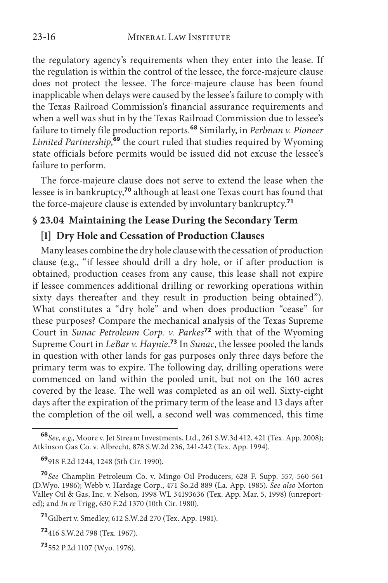the regulatory agency's requirements when they enter into the lease. If the regulation is within the control of the lessee, the force-majeure clause does not protect the lessee. The force-majeure clause has been found inapplicable when delays were caused by the lessee's failure to comply with the Texas Railroad Commission's financial assurance requirements and when a well was shut in by the Texas Railroad Commission due to lessee's failure to timely file production reports.**<sup>68</sup>** Similarly, in *Perlman v. Pioneer Limited Partnership*, **<sup>69</sup>** the court ruled that studies required by Wyoming state officials before permits would be issued did not excuse the lessee's failure to perform.

The force-majeure clause does not serve to extend the lease when the lessee is in bankruptcy,**<sup>70</sup>** although at least one Texas court has found that the force-majeure clause is extended by involuntary bankruptcy.**<sup>71</sup>**

## **§ 23.04 Maintaining the Lease During the Secondary Term**

## **[1] Dry Hole and Cessation of Production Clauses**

Many leases combine the dry hole clause with the cessation of production clause (e.g., "if lessee should drill a dry hole, or if after production is obtained, production ceases from any cause, this lease shall not expire if lessee commences additional drilling or reworking operations within sixty days thereafter and they result in production being obtained"). What constitutes a "dry hole" and when does production "cease" for these purposes? Compare the mechanical analysis of the Texas Supreme Court in *Sunac Petroleum Corp. v. Parkes***<sup>72</sup>** with that of the Wyoming Supreme Court in *LeBar v. Haynie*. **<sup>73</sup>** In *Sunac*, the lessee pooled the lands in question with other lands for gas purposes only three days before the primary term was to expire. The following day, drilling operations were commenced on land within the pooled unit, but not on the 160 acres covered by the lease. The well was completed as an oil well. Sixty-eight days after the expiration of the primary term of the lease and 13 days after the completion of the oil well, a second well was commenced, this time

**<sup>68</sup>***See, e.g*., Moore v. Jet Stream Investments, Ltd., 261 S.W.3d 412, 421 (Tex. App. 2008); Atkinson Gas Co. v. Albrecht, 878 S.W.2d 236, 241-242 (Tex. App. 1994).

**<sup>69</sup>**918 F.2d 1244, 1248 (5th Cir. 1990).

**<sup>70</sup>***See* Champlin Petroleum Co. v. Mingo Oil Producers, 628 F. Supp. 557, 560-561 (D.Wyo. 1986); Webb v. Hardage Corp., 471 So.2d 889 (La. App. 1985). *See also* Morton Valley Oil & Gas, Inc. v. Nelson*,* 1998 WL 34193636 (Tex. App. Mar. 5, 1998) (unreported); and *In re* Trigg, 630 F.2d 1370 (10th Cir. 1980).

**<sup>71</sup>**Gilbert v. Smedley, 612 S.W.2d 270 (Tex. App. 1981).

**<sup>72</sup>**416 S.W.2d 798 (Tex. 1967).

**<sup>73</sup>**552 P.2d 1107 (Wyo. 1976).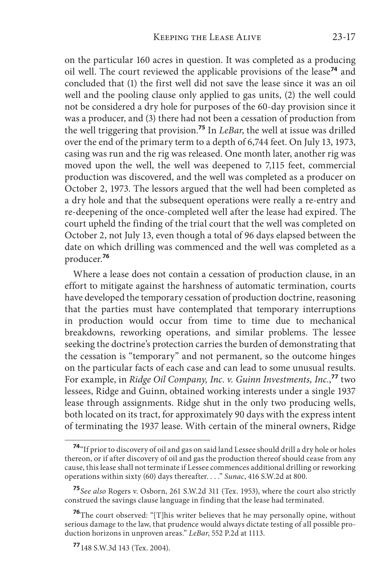on the particular 160 acres in question. It was completed as a producing oil well. The court reviewed the applicable provisions of the lease**<sup>74</sup>** and concluded that (1) the first well did not save the lease since it was an oil well and the pooling clause only applied to gas units, (2) the well could not be considered a dry hole for purposes of the 60-day provision since it was a producer, and (3) there had not been a cessation of production from the well triggering that provision.**<sup>75</sup>** In *LeBar*, the well at issue was drilled over the end of the primary term to a depth of 6,744 feet. On July 13, 1973, casing was run and the rig was released. One month later, another rig was moved upon the well, the well was deepened to 7,115 feet, commercial production was discovered, and the well was completed as a producer on October 2, 1973. The lessors argued that the well had been completed as a dry hole and that the subsequent operations were really a re-entry and re-deepening of the once-completed well after the lease had expired. The court upheld the finding of the trial court that the well was completed on October 2, not July 13, even though a total of 96 days elapsed between the date on which drilling was commenced and the well was completed as a producer.**<sup>76</sup>**

Where a lease does not contain a cessation of production clause, in an effort to mitigate against the harshness of automatic termination, courts have developed the temporary cessation of production doctrine, reasoning that the parties must have contemplated that temporary interruptions in production would occur from time to time due to mechanical breakdowns, reworking operations, and similar problems. The lessee seeking the doctrine's protection carries the burden of demonstrating that the cessation is "temporary" and not permanent, so the outcome hinges on the particular facts of each case and can lead to some unusual results. For example, in *Ridge Oil Company, Inc. v. Guinn Investments, Inc.*, **<sup>77</sup>** two lessees, Ridge and Guinn, obtained working interests under a single 1937 lease through assignments. Ridge shut in the only two producing wells, both located on its tract, for approximately 90 days with the express intent of terminating the 1937 lease. With certain of the mineral owners, Ridge

**<sup>74</sup>**"If prior to discovery of oil and gas on said land Lessee should drill a dry hole or holes thereon, or if after discovery of oil and gas the production thereof should cease from any cause, this lease shall not terminate if Lessee commences additional drilling or reworking operations within sixty (60) days thereafter. . . ." *Sunac*, 416 S.W.2d at 800.

**<sup>75</sup>***See also* Rogers v. Osborn, 261 S.W.2d 311 (Tex. 1953), where the court also strictly construed the savings clause language in finding that the lease had terminated.

**<sup>76</sup>**The court observed: "[T]his writer believes that he may personally opine, without serious damage to the law, that prudence would always dictate testing of all possible production horizons in unproven areas." *LeBar*, 552 P.2d at 1113.

**<sup>77</sup>**148 S.W.3d 143 (Tex. 2004).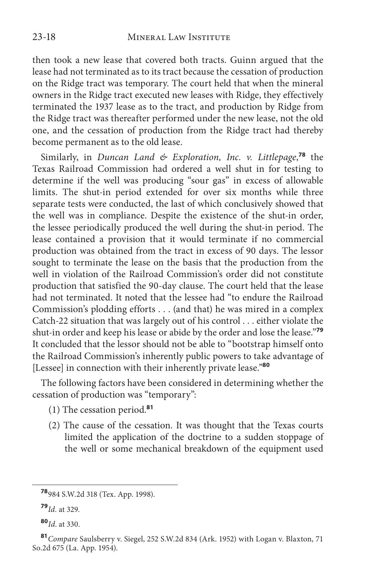then took a new lease that covered both tracts. Guinn argued that the lease had not terminated as to its tract because the cessation of production on the Ridge tract was temporary. The court held that when the mineral owners in the Ridge tract executed new leases with Ridge, they effectively terminated the 1937 lease as to the tract, and production by Ridge from the Ridge tract was thereafter performed under the new lease, not the old one, and the cessation of production from the Ridge tract had thereby become permanent as to the old lease.

Similarly, in *Duncan Land & Exploration, Inc. v. Littlepage*, **<sup>78</sup>** the Texas Railroad Commission had ordered a well shut in for testing to determine if the well was producing "sour gas" in excess of allowable limits. The shut-in period extended for over six months while three separate tests were conducted, the last of which conclusively showed that the well was in compliance. Despite the existence of the shut-in order, the lessee periodically produced the well during the shut-in period. The lease contained a provision that it would terminate if no commercial production was obtained from the tract in excess of 90 days. The lessor sought to terminate the lease on the basis that the production from the well in violation of the Railroad Commission's order did not constitute production that satisfied the 90-day clause. The court held that the lease had not terminated. It noted that the lessee had "to endure the Railroad Commission's plodding efforts . . . (and that) he was mired in a complex Catch-22 situation that was largely out of his control . . . either violate the shut-in order and keep his lease or abide by the order and lose the lease."**<sup>79</sup>** It concluded that the lessor should not be able to "bootstrap himself onto the Railroad Commission's inherently public powers to take advantage of [Lessee] in connection with their inherently private lease."**<sup>80</sup>**

The following factors have been considered in determining whether the cessation of production was "temporary":

- (1) The cessation period.**<sup>81</sup>**
- (2) The cause of the cessation. It was thought that the Texas courts limited the application of the doctrine to a sudden stoppage of the well or some mechanical breakdown of the equipment used

**<sup>78</sup>**984 S.W.2d 318 (Tex. App. 1998).

**<sup>79</sup>***Id.* at 329.

**<sup>80</sup>***Id*. at 330.

**<sup>81</sup>***Compare* Saulsberry v. Siegel, 252 S.W.2d 834 (Ark. 1952) with Logan v. Blaxton, 71 So.2d 675 (La. App. 1954).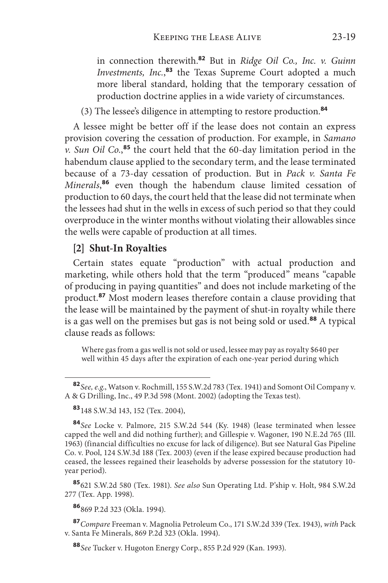in connection therewith.**<sup>82</sup>** But in *Ridge Oil Co., Inc. v. Guinn Investments, Inc.*, **<sup>83</sup>** the Texas Supreme Court adopted a much more liberal standard, holding that the temporary cessation of production doctrine applies in a wide variety of circumstances.

(3) The lessee's diligence in attempting to restore production.**<sup>84</sup>**

A lessee might be better off if the lease does not contain an express provision covering the cessation of production. For example, in *Samano v. Sun Oil Co.*, **<sup>85</sup>** the court held that the 60-day limitation period in the habendum clause applied to the secondary term, and the lease terminated because of a 73-day cessation of production. But in *Pack v. Santa Fe Minerals*, **<sup>86</sup>** even though the habendum clause limited cessation of production to 60 days, the court held that the lease did not terminate when the lessees had shut in the wells in excess of such period so that they could overproduce in the winter months without violating their allowables since the wells were capable of production at all times.

#### **[2] Shut-In Royalties**

Certain states equate "production" with actual production and marketing, while others hold that the term "produced" means "capable of producing in paying quantities" and does not include marketing of the product.**<sup>87</sup>** Most modern leases therefore contain a clause providing that the lease will be maintained by the payment of shut-in royalty while there is a gas well on the premises but gas is not being sold or used.**<sup>88</sup>** A typical clause reads as follows:

Where gas from a gas well is not sold or used, lessee may pay as royalty \$640 per well within 45 days after the expiration of each one-year period during which

**<sup>83</sup>**148 S.W.3d 143, 152 (Tex. 2004),

**<sup>84</sup>***See* Locke v. Palmore, 215 S.W.2d 544 (Ky. 1948) (lease terminated when lessee capped the well and did nothing further); and Gillespie v. Wagoner, 190 N.E.2d 765 (Ill. 1963) (financial difficulties no excuse for lack of diligence). But see Natural Gas Pipeline Co. v. Pool, 124 S.W.3d 188 (Tex. 2003) (even if the lease expired because production had ceased, the lessees regained their leaseholds by adverse possession for the statutory 10 year period).

**<sup>85</sup>**621 S.W.2d 580 (Tex. 1981). *See also* Sun Operating Ltd. P'ship v. Holt, 984 S.W.2d 277 (Tex. App. 1998).

**<sup>86</sup>**869 P.2d 323 (Okla. 1994).

**<sup>87</sup>***Compare* Freeman v. Magnolia Petroleum Co., 171 S.W.2d 339 (Tex. 1943), *with* Pack v. Santa Fe Minerals, 869 P.2d 323 (Okla. 1994).

**<sup>82</sup>***See, e.g*., Watson v. Rochmill, 155 S.W.2d 783 (Tex. 1941) and Somont Oil Company v. A & G Drilling, Inc., 49 P.3d 598 (Mont. 2002) (adopting the Texas test).

**<sup>88</sup>***See* Tucker v. Hugoton Energy Corp., 855 P.2d 929 (Kan. 1993).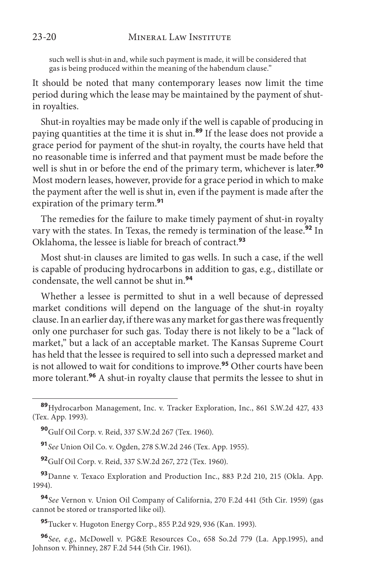such well is shut-in and, while such payment is made, it will be considered that gas is being produced within the meaning of the habendum clause."

It should be noted that many contemporary leases now limit the time period during which the lease may be maintained by the payment of shutin royalties.

Shut-in royalties may be made only if the well is capable of producing in paying quantities at the time it is shut in.**<sup>89</sup>** If the lease does not provide a grace period for payment of the shut-in royalty, the courts have held that no reasonable time is inferred and that payment must be made before the well is shut in or before the end of the primary term, whichever is later.**<sup>90</sup>** Most modern leases, however, provide for a grace period in which to make the payment after the well is shut in, even if the payment is made after the expiration of the primary term.**<sup>91</sup>**

The remedies for the failure to make timely payment of shut-in royalty vary with the states. In Texas, the remedy is termination of the lease.**<sup>92</sup>** In Oklahoma, the lessee is liable for breach of contract.**<sup>93</sup>**

Most shut-in clauses are limited to gas wells. In such a case, if the well is capable of producing hydrocarbons in addition to gas, e.g., distillate or condensate, the well cannot be shut in.**<sup>94</sup>**

Whether a lessee is permitted to shut in a well because of depressed market conditions will depend on the language of the shut-in royalty clause. In an earlier day, if there was any market for gas there was frequently only one purchaser for such gas. Today there is not likely to be a "lack of market," but a lack of an acceptable market. The Kansas Supreme Court has held that the lessee is required to sell into such a depressed market and is not allowed to wait for conditions to improve.**<sup>95</sup>** Other courts have been more tolerant.**<sup>96</sup>** A shut-in royalty clause that permits the lessee to shut in

**<sup>91</sup>***See* Union Oil Co. v. Ogden, 278 S.W.2d 246 (Tex. App. 1955).

**<sup>92</sup>**Gulf Oil Corp. v. Reid, 337 S.W.2d 267, 272 (Tex. 1960).

**<sup>93</sup>**Danne v. Texaco Exploration and Production Inc., 883 P.2d 210, 215 (Okla. App. 1994).

**<sup>94</sup>***See* Vernon v. Union Oil Company of California, 270 F.2d 441 (5th Cir. 1959) (gas cannot be stored or transported like oil).

**<sup>95</sup>**Tucker v. Hugoton Energy Corp., 855 P.2d 929, 936 (Kan. 1993).

**<sup>96</sup>***See, e.g*., McDowell v. PG&E Resources Co., 658 So.2d 779 (La. App.1995), and Johnson v. Phinney, 287 F.2d 544 (5th Cir. 1961).

**<sup>89</sup>**Hydrocarbon Management, Inc. v. Tracker Exploration, Inc., 861 S.W.2d 427, 433 (Tex. App. 1993).

**<sup>90</sup>**Gulf Oil Corp. v. Reid, 337 S.W.2d 267 (Tex. 1960).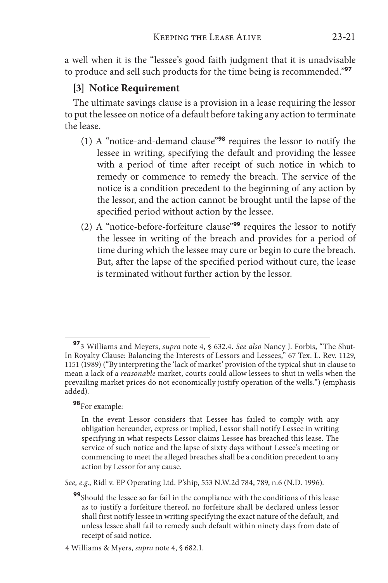a well when it is the "lessee's good faith judgment that it is unadvisable to produce and sell such products for the time being is recommended."**<sup>97</sup>**

#### **[3] Notice Requirement**

The ultimate savings clause is a provision in a lease requiring the lessor to put the lessee on notice of a default before taking any action to terminate the lease.

- (1) A "notice-and-demand clause"**<sup>98</sup>** requires the lessor to notify the lessee in writing, specifying the default and providing the lessee with a period of time after receipt of such notice in which to remedy or commence to remedy the breach. The service of the notice is a condition precedent to the beginning of any action by the lessor, and the action cannot be brought until the lapse of the specified period without action by the lessee.
- (2) A "notice-before-forfeiture clause"**<sup>99</sup>** requires the lessor to notify the lessee in writing of the breach and provides for a period of time during which the lessee may cure or begin to cure the breach. But, after the lapse of the specified period without cure, the lease is terminated without further action by the lessor.

#### **<sup>98</sup>**For example:

*See, e.g*., Ridl v. EP Operating Ltd. P'ship, 553 N.W.2d 784, 789, n.6 (N.D. 1996).

**<sup>97</sup>**3 Williams and Meyers, *supra* note 4, § 632.4. *See also* Nancy J. Forbis, "The Shut-In Royalty Clause: Balancing the Interests of Lessors and Lessees," 67 Tex. L. Rev. 1129, 1151 (1989) ("By interpreting the 'lack of market' provision of the typical shut-in clause to mean a lack of a *reasonable* market, courts could allow lessees to shut in wells when the prevailing market prices do not economically justify operation of the wells.") (emphasis added).

In the event Lessor considers that Lessee has failed to comply with any obligation hereunder, express or implied, Lessor shall notify Lessee in writing specifying in what respects Lessor claims Lessee has breached this lease. The service of such notice and the lapse of sixty days without Lessee's meeting or commencing to meet the alleged breaches shall be a condition precedent to any action by Lessor for any cause.

**<sup>99</sup>**Should the lessee so far fail in the compliance with the conditions of this lease as to justify a forfeiture thereof, no forfeiture shall be declared unless lessor shall first notify lessee in writing specifying the exact nature of the default, and unless lessee shall fail to remedy such default within ninety days from date of receipt of said notice.

<sup>4</sup> Williams & Myers, *supra* note 4, § 682.1.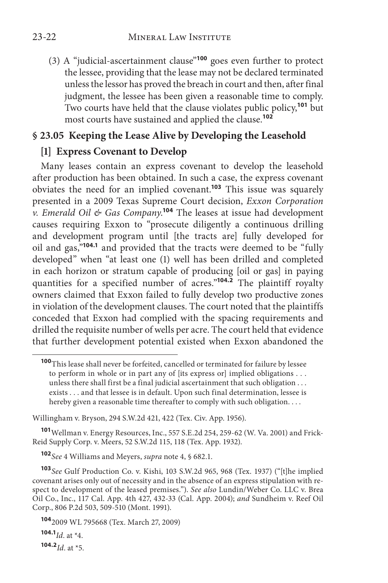(3) A "judicial-ascertainment clause"**<sup>100</sup>** goes even further to protect the lessee, providing that the lease may not be declared terminated unless the lessor has proved the breach in court and then, after final judgment, the lessee has been given a reasonable time to comply. Two courts have held that the clause violates public policy,**<sup>101</sup>** but most courts have sustained and applied the clause.**<sup>102</sup>**

# **§ 23.05 Keeping the Lease Alive by Developing the Leasehold**

## **[1] Express Covenant to Develop**

Many leases contain an express covenant to develop the leasehold after production has been obtained. In such a case, the express covenant obviates the need for an implied covenant.**<sup>103</sup>** This issue was squarely presented in a 2009 Texas Supreme Court decision, *Exxon Corporation v. Emerald Oil & Gas Company*. **<sup>104</sup>** The leases at issue had development causes requiring Exxon to "prosecute diligently a continuous drilling and development program until [the tracts are] fully developed for oil and gas,"**104.1** and provided that the tracts were deemed to be "fully developed" when "at least one (1) well has been drilled and completed in each horizon or stratum capable of producing [oil or gas] in paying quantities for a specified number of acres."**104.2** The plaintiff royalty owners claimed that Exxon failed to fully develop two productive zones in violation of the development clauses. The court noted that the plaintiffs conceded that Exxon had complied with the spacing requirements and drilled the requisite number of wells per acre. The court held that evidence that further development potential existed when Exxon abandoned the

Willingham v. Bryson, 294 S.W.2d 421, 422 (Tex. Civ. App. 1956).

**<sup>101</sup>**Wellman v. Energy Resources, Inc., 557 S.E.2d 254, 259-62 (W. Va. 2001) and Frick-Reid Supply Corp. v. Meers, 52 S.W.2d 115, 118 (Tex. App. 1932).

**<sup>102</sup>***See* 4 Williams and Meyers, *supra* note 4, § 682.1.

**<sup>103</sup>***See* Gulf Production Co. v. Kishi, 103 S.W.2d 965, 968 (Tex. 1937) ("[t]he implied covenant arises only out of necessity and in the absence of an express stipulation with respect to development of the leased premises."). *See also* Lundin/Weber Co. LLC v. Brea Oil Co., Inc., 117 Cal. App. 4th 427, 432-33 (Cal. App. 2004); *and* Sundheim v. Reef Oil Corp., 806 P.2d 503, 509-510 (Mont. 1991).

**104.1***Id*. at \*4.

**104.2***Id*. at \*5.

**<sup>100</sup>**This lease shall never be forfeited, cancelled or terminated for failure by lessee to perform in whole or in part any of [its express or] implied obligations . . . unless there shall first be a final judicial ascertainment that such obligation . . . exists . . . and that lessee is in default. Upon such final determination, lessee is hereby given a reasonable time thereafter to comply with such obligation. . . .

**<sup>104</sup>**2009 WL 795668 (Tex. March 27, 2009)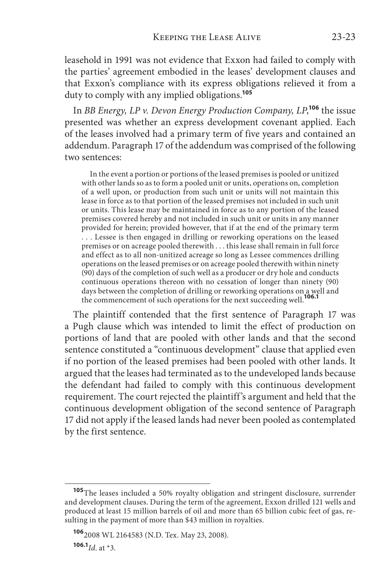leasehold in 1991 was not evidence that Exxon had failed to comply with the parties' agreement embodied in the leases' development clauses and that Exxon's compliance with its express obligations relieved it from a duty to comply with any implied obligations.**<sup>105</sup>**

In *BB Energy, LP v. Devon Energy Production Company, LP*, **<sup>106</sup>** the issue presented was whether an express development covenant applied. Each of the leases involved had a primary term of five years and contained an addendum. Paragraph 17 of the addendum was comprised of the following two sentences:

In the event a portion or portions of the leased premises is pooled or unitized with other lands so as to form a pooled unit or units, operations on, completion of a well upon, or production from such unit or units will not maintain this lease in force as to that portion of the leased premises not included in such unit or units. This lease may be maintained in force as to any portion of the leased premises covered hereby and not included in such unit or units in any manner provided for herein; provided however, that if at the end of the primary term . . . Lessee is then engaged in drilling or reworking operations on the leased premises or on acreage pooled therewith . . . this lease shall remain in full force and effect as to all non-unitized acreage so long as Lessee commences drilling operations on the leased premises or on acreage pooled therewith within ninety (90) days of the completion of such well as a producer or dry hole and conducts continuous operations thereon with no cessation of longer than ninety (90) days between the completion of drilling or reworking operations on a well and the commencement of such operations for the next succeeding well.**106.1**

The plaintiff contended that the first sentence of Paragraph 17 was a Pugh clause which was intended to limit the effect of production on portions of land that are pooled with other lands and that the second sentence constituted a "continuous development" clause that applied even if no portion of the leased premises had been pooled with other lands. It argued that the leases had terminated as to the undeveloped lands because the defendant had failed to comply with this continuous development requirement. The court rejected the plaintiff's argument and held that the continuous development obligation of the second sentence of Paragraph 17 did not apply if the leased lands had never been pooled as contemplated by the first sentence.

**106.1***Id*. at \*3.

**<sup>105</sup>**The leases included a 50% royalty obligation and stringent disclosure, surrender and development clauses. During the term of the agreement, Exxon drilled 121 wells and produced at least 15 million barrels of oil and more than 65 billion cubic feet of gas, resulting in the payment of more than \$43 million in royalties.

**<sup>106</sup>**2008 WL 2164583 (N.D. Tex. May 23, 2008).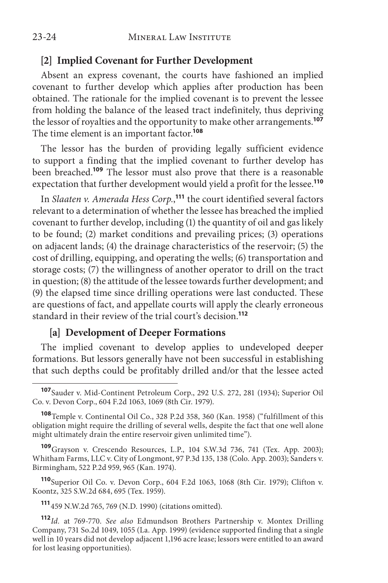#### **[2] Implied Covenant for Further Development**

Absent an express covenant, the courts have fashioned an implied covenant to further develop which applies after production has been obtained. The rationale for the implied covenant is to prevent the lessee from holding the balance of the leased tract indefinitely, thus depriving the lessor of royalties and the opportunity to make other arrangements.**<sup>107</sup>** The time element is an important factor.**<sup>108</sup>**

The lessor has the burden of providing legally sufficient evidence to support a finding that the implied covenant to further develop has been breached.**<sup>109</sup>** The lessor must also prove that there is a reasonable expectation that further development would yield a profit for the lessee.**<sup>110</sup>**

In *Slaaten v. Amerada Hess Corp.*, **<sup>111</sup>** the court identified several factors relevant to a determination of whether the lessee has breached the implied covenant to further develop, including (1) the quantity of oil and gas likely to be found; (2) market conditions and prevailing prices; (3) operations on adjacent lands; (4) the drainage characteristics of the reservoir; (5) the cost of drilling, equipping, and operating the wells; (6) transportation and storage costs; (7) the willingness of another operator to drill on the tract in question; (8) the attitude of the lessee towards further development; and (9) the elapsed time since drilling operations were last conducted. These are questions of fact, and appellate courts will apply the clearly erroneous standard in their review of the trial court's decision.**<sup>112</sup>**

## **[a] Development of Deeper Formations**

The implied covenant to develop applies to undeveloped deeper formations. But lessors generally have not been successful in establishing that such depths could be profitably drilled and/or that the lessee acted

**<sup>109</sup>**Grayson v. Crescendo Resources, L.P., 104 S.W.3d 736, 741 (Tex. App. 2003); Whitham Farms, LLC v. City of Longmont, 97 P.3d 135, 138 (Colo. App. 2003); Sanders v. Birmingham, 522 P.2d 959, 965 (Kan. 1974).

**<sup>110</sup>**Superior Oil Co. v. Devon Corp., 604 F.2d 1063, 1068 (8th Cir. 1979); Clifton v. Koontz, 325 S.W.2d 684, 695 (Tex. 1959).

**<sup>111</sup>**459 N.W.2d 765, 769 (N.D. 1990) (citations omitted).

**<sup>112</sup>***Id.* at 769-770. *See also* Edmundson Brothers Partnership v. Montex Drilling Company, 731 So.2d 1049, 1055 (La. App. 1999) (evidence supported finding that a single well in 10 years did not develop adjacent 1,196 acre lease; lessors were entitled to an award for lost leasing opportunities).

**<sup>107</sup>**Sauder v. Mid-Continent Petroleum Corp., 292 U.S. 272, 281 (1934); Superior Oil Co. v. Devon Corp., 604 F.2d 1063, 1069 (8th Cir. 1979).

**<sup>108</sup>**Temple v. Continental Oil Co., 328 P.2d 358, 360 (Kan. 1958) ("fulfillment of this obligation might require the drilling of several wells, despite the fact that one well alone might ultimately drain the entire reservoir given unlimited time").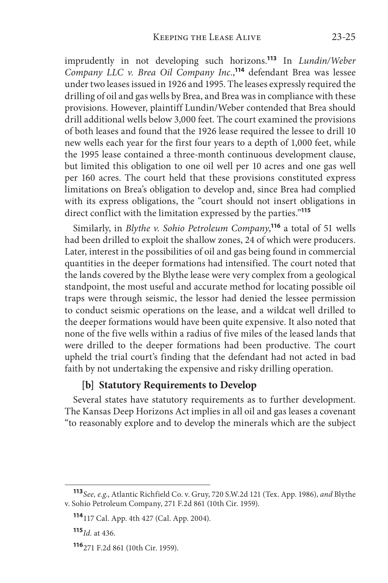imprudently in not developing such horizons.**<sup>113</sup>** In *Lundin/Weber Company LLC v. Brea Oil Company Inc.*, **<sup>114</sup>** defendant Brea was lessee under two leases issued in 1926 and 1995. The leases expressly required the drilling of oil and gas wells by Brea, and Brea was in compliance with these provisions. However, plaintiff Lundin/Weber contended that Brea should drill additional wells below 3,000 feet. The court examined the provisions of both leases and found that the 1926 lease required the lessee to drill 10 new wells each year for the first four years to a depth of 1,000 feet, while the 1995 lease contained a three-month continuous development clause, but limited this obligation to one oil well per 10 acres and one gas well per 160 acres. The court held that these provisions constituted express limitations on Brea's obligation to develop and, since Brea had complied with its express obligations, the "court should not insert obligations in direct conflict with the limitation expressed by the parties."**<sup>115</sup>**

Similarly, in *Blythe v. Sohio Petroleum Company*, **<sup>116</sup>** a total of 51 wells had been drilled to exploit the shallow zones, 24 of which were producers. Later, interest in the possibilities of oil and gas being found in commercial quantities in the deeper formations had intensified. The court noted that the lands covered by the Blythe lease were very complex from a geological standpoint, the most useful and accurate method for locating possible oil traps were through seismic, the lessor had denied the lessee permission to conduct seismic operations on the lease, and a wildcat well drilled to the deeper formations would have been quite expensive. It also noted that none of the five wells within a radius of five miles of the leased lands that were drilled to the deeper formations had been productive. The court upheld the trial court's finding that the defendant had not acted in bad faith by not undertaking the expensive and risky drilling operation.

#### **[b] Statutory Requirements to Develop**

Several states have statutory requirements as to further development. The Kansas Deep Horizons Act implies in all oil and gas leases a covenant "to reasonably explore and to develop the minerals which are the subject

**<sup>113</sup>***See, e.g.*, Atlantic Richfield Co. v. Gruy, 720 S.W.2d 121 (Tex. App. 1986), *and* Blythe v. Sohio Petroleum Company, 271 F.2d 861 (10th Cir. 1959).

**<sup>114</sup>**117 Cal. App. 4th 427 (Cal. App. 2004).

**<sup>115</sup>***Id.* at 436.

**<sup>116</sup>**271 F.2d 861 (10th Cir. 1959).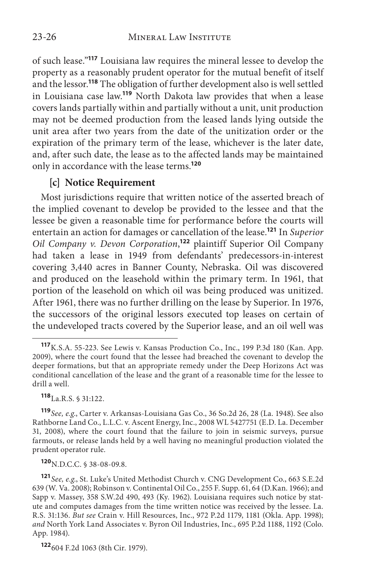of such lease."**<sup>117</sup>** Louisiana law requires the mineral lessee to develop the property as a reasonably prudent operator for the mutual benefit of itself and the lessor.**<sup>118</sup>** The obligation of further development also is well settled in Louisiana case law.**<sup>119</sup>** North Dakota law provides that when a lease covers lands partially within and partially without a unit, unit production may not be deemed production from the leased lands lying outside the unit area after two years from the date of the unitization order or the expiration of the primary term of the lease, whichever is the later date, and, after such date, the lease as to the affected lands may be maintained only in accordance with the lease terms.**<sup>120</sup>**

#### **[c] Notice Requirement**

Most jurisdictions require that written notice of the asserted breach of the implied covenant to develop be provided to the lessee and that the lessee be given a reasonable time for performance before the courts will entertain an action for damages or cancellation of the lease.**<sup>121</sup>** In *Superior Oil Company v. Devon Corporation*, **<sup>122</sup>** plaintiff Superior Oil Company had taken a lease in 1949 from defendants' predecessors-in-interest covering 3,440 acres in Banner County, Nebraska. Oil was discovered and produced on the leasehold within the primary term. In 1961, that portion of the leasehold on which oil was being produced was unitized. After 1961, there was no further drilling on the lease by Superior. In 1976, the successors of the original lessors executed top leases on certain of the undeveloped tracts covered by the Superior lease, and an oil well was

**<sup>118</sup>**La.R.S. § 31:122.

**<sup>120</sup>**N.D.C.C. § 38-08-09.8.

**<sup>117</sup>**K.S.A. 55-223. See Lewis v. Kansas Production Co., Inc., 199 P.3d 180 (Kan. App. 2009), where the court found that the lessee had breached the covenant to develop the deeper formations, but that an appropriate remedy under the Deep Horizons Act was conditional cancellation of the lease and the grant of a reasonable time for the lessee to drill a well.

**<sup>119</sup>***See, e.g*., Carter v. Arkansas-Louisiana Gas Co., 36 So.2d 26, 28 (La. 1948). See also Rathborne Land Co., L.L.C. v. Ascent Energy, Inc., 2008 WL 5427751 (E.D. La. December 31, 2008), where the court found that the failure to join in seismic surveys, pursue farmouts, or release lands held by a well having no meaningful production violated the prudent operator rule.

**<sup>121</sup>***See, e.g*., St. Luke's United Methodist Church v. CNG Development Co., 663 S.E.2d 639 (W. Va. 2008); Robinson v. Continental Oil Co., 255 F. Supp. 61, 64 (D.Kan. 1966); and Sapp v. Massey, 358 S.W.2d 490, 493 (Ky. 1962). Louisiana requires such notice by statute and computes damages from the time written notice was received by the lessee. La. R.S. 31:136. *But see* Crain v. Hill Resources, Inc., 972 P.2d 1179, 1181 (Okla. App. 1998); *and* North York Land Associates v. Byron Oil Industries, Inc., 695 P.2d 1188, 1192 (Colo. App. 1984).

**<sup>122</sup>**604 F.2d 1063 (8th Cir. 1979).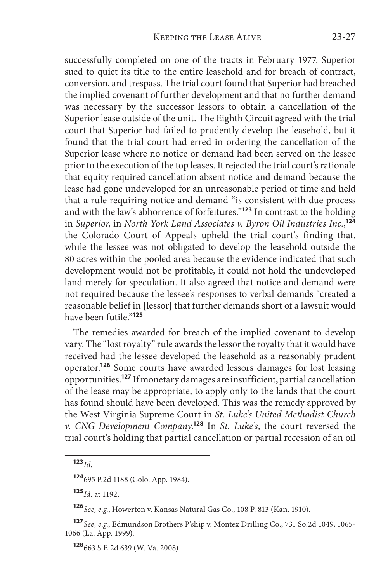successfully completed on one of the tracts in February 1977. Superior sued to quiet its title to the entire leasehold and for breach of contract, conversion, and trespass. The trial court found that Superior had breached the implied covenant of further development and that no further demand was necessary by the successor lessors to obtain a cancellation of the Superior lease outside of the unit. The Eighth Circuit agreed with the trial court that Superior had failed to prudently develop the leasehold, but it found that the trial court had erred in ordering the cancellation of the Superior lease where no notice or demand had been served on the lessee prior to the execution of the top leases. It rejected the trial court's rationale that equity required cancellation absent notice and demand because the lease had gone undeveloped for an unreasonable period of time and held that a rule requiring notice and demand "is consistent with due process and with the law's abhorrence of forfeitures."**<sup>123</sup>** In contrast to the holding in *Superior*, in *North York Land Associates v. Byron Oil Industries Inc.*, **124** the Colorado Court of Appeals upheld the trial court's finding that, while the lessee was not obligated to develop the leasehold outside the 80 acres within the pooled area because the evidence indicated that such development would not be profitable, it could not hold the undeveloped land merely for speculation. It also agreed that notice and demand were not required because the lessee's responses to verbal demands "created a reasonable belief in [lessor] that further demands short of a lawsuit would have been futile."**<sup>125</sup>**

The remedies awarded for breach of the implied covenant to develop vary. The "lost royalty" rule awards the lessor the royalty that it would have received had the lessee developed the leasehold as a reasonably prudent operator.**<sup>126</sup>** Some courts have awarded lessors damages for lost leasing opportunities.**<sup>127</sup>** If monetary damages are insufficient, partial cancellation of the lease may be appropriate, to apply only to the lands that the court has found should have been developed. This was the remedy approved by the West Virginia Supreme Court in *St. Luke's United Methodist Church v. CNG Development Company*. **<sup>128</sup>** In *St. Luke's*, the court reversed the trial court's holding that partial cancellation or partial recession of an oil

**<sup>125</sup>***Id.* at 1192.

**<sup>126</sup>***See, e.g*., Howerton v. Kansas Natural Gas Co., 108 P. 813 (Kan. 1910).

**<sup>128</sup>**663 S.E.2d 639 (W. Va. 2008)

**<sup>123</sup>***Id*.

**<sup>124</sup>**695 P.2d 1188 (Colo. App. 1984).

**<sup>127</sup>***See, e.g*., Edmundson Brothers P'ship v. Montex Drilling Co., 731 So.2d 1049, 1065- 1066 (La. App. 1999).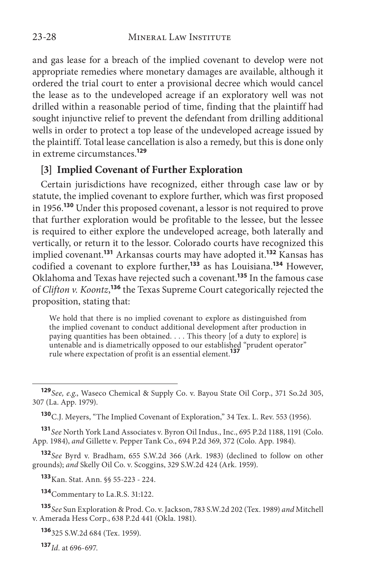and gas lease for a breach of the implied covenant to develop were not appropriate remedies where monetary damages are available, although it ordered the trial court to enter a provisional decree which would cancel the lease as to the undeveloped acreage if an exploratory well was not drilled within a reasonable period of time, finding that the plaintiff had sought injunctive relief to prevent the defendant from drilling additional wells in order to protect a top lease of the undeveloped acreage issued by the plaintiff. Total lease cancellation is also a remedy, but this is done only in extreme circumstances.**<sup>129</sup>**

#### **[3] Implied Covenant of Further Exploration**

Certain jurisdictions have recognized, either through case law or by statute, the implied covenant to explore further, which was first proposed in 1956.**<sup>130</sup>** Under this proposed covenant, a lessor is not required to prove that further exploration would be profitable to the lessee, but the lessee is required to either explore the undeveloped acreage, both laterally and vertically, or return it to the lessor. Colorado courts have recognized this implied covenant.**<sup>131</sup>** Arkansas courts may have adopted it.**<sup>132</sup>** Kansas has codified a covenant to explore further,**<sup>133</sup>** as has Louisiana.**<sup>134</sup>** However, Oklahoma and Texas have rejected such a covenant.**<sup>135</sup>** In the famous case of *Clifton v. Koontz*, **<sup>136</sup>** the Texas Supreme Court categorically rejected the proposition, stating that:

We hold that there is no implied covenant to explore as distinguished from the implied covenant to conduct additional development after production in paying quantities has been obtained. . . . This theory [of a duty to explore] is untenable and is diametrically opposed to our established "prudent operator" rule where expectation of profit is an essential element.**<sup>137</sup>**

**<sup>131</sup>***See* North York Land Associates v. Byron Oil Indus., Inc., 695 P.2d 1188, 1191 (Colo. App. 1984), *and* Gillette v. Pepper Tank Co., 694 P.2d 369, 372 (Colo. App. 1984).

**<sup>132</sup>***See* Byrd v. Bradham, 655 S.W.2d 366 (Ark. 1983) (declined to follow on other grounds); *and* Skelly Oil Co. v. Scoggins, 329 S.W.2d 424 (Ark. 1959).

**<sup>133</sup>**Kan. Stat. Ann. §§ 55-223 - 224.

**<sup>134</sup>**Commentary to La.R.S. 31:122.

**<sup>135</sup>***See* Sun Exploration & Prod. Co. v. Jackson, 783 S.W.2d 202 (Tex. 1989) *and* Mitchell v. Amerada Hess Corp., 638 P.2d 441 (Okla. 1981).

**<sup>136</sup>**325 S.W.2d 684 (Tex. 1959).

**<sup>137</sup>***Id.* at 696-697.

**<sup>129</sup>***See, e.g*., Waseco Chemical & Supply Co. v. Bayou State Oil Corp., 371 So.2d 305, 307 (La. App. 1979).

**<sup>130</sup>**C.J. Meyers, "The Implied Covenant of Exploration," 34 Tex. L. Rev. 553 (1956).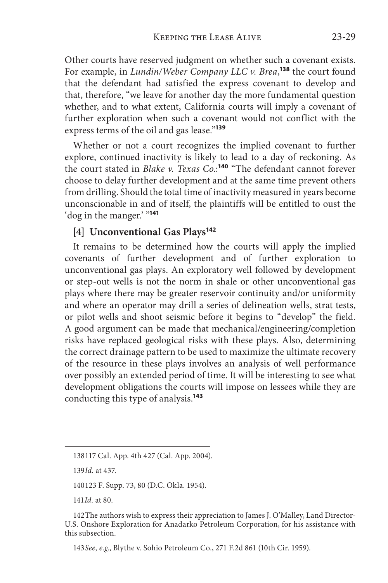Other courts have reserved judgment on whether such a covenant exists. For example, in *Lundin/Weber Company LLC v. Brea*, **<sup>138</sup>** the court found that the defendant had satisfied the express covenant to develop and that, therefore, "we leave for another day the more fundamental question whether, and to what extent, California courts will imply a covenant of further exploration when such a covenant would not conflict with the express terms of the oil and gas lease."**<sup>139</sup>**

Whether or not a court recognizes the implied covenant to further explore, continued inactivity is likely to lead to a day of reckoning. As the court stated in *Blake v. Texas Co.*: **<sup>140</sup>** "The defendant cannot forever choose to delay further development and at the same time prevent others from drilling. Should the total time of inactivity measured in years become unconscionable in and of itself, the plaintiffs will be entitled to oust the 'dog in the manger.' "**<sup>141</sup>**

#### **[4] Unconventional Gas Plays<sup>142</sup>**

It remains to be determined how the courts will apply the implied covenants of further development and of further exploration to unconventional gas plays. An exploratory well followed by development or step-out wells is not the norm in shale or other unconventional gas plays where there may be greater reservoir continuity and/or uniformity and where an operator may drill a series of delineation wells, strat tests, or pilot wells and shoot seismic before it begins to "develop" the field. A good argument can be made that mechanical/engineering/completion risks have replaced geological risks with these plays. Also, determining the correct drainage pattern to be used to maximize the ultimate recovery of the resource in these plays involves an analysis of well performance over possibly an extended period of time. It will be interesting to see what development obligations the courts will impose on lessees while they are conducting this type of analysis.**<sup>143</sup>**

141*Id.* at 80.

<sup>138117</sup> Cal. App. 4th 427 (Cal. App. 2004).

<sup>139</sup>*Id.* at 437.

<sup>140123</sup> F. Supp. 73, 80 (D.C. Okla. 1954).

<sup>142</sup>The authors wish to express their appreciation to James J. O'Malley, Land Director-U.S. Onshore Exploration for Anadarko Petroleum Corporation, for his assistance with this subsection.

<sup>143</sup>*See, e.g*., Blythe v. Sohio Petroleum Co., 271 F.2d 861 (10th Cir. 1959).